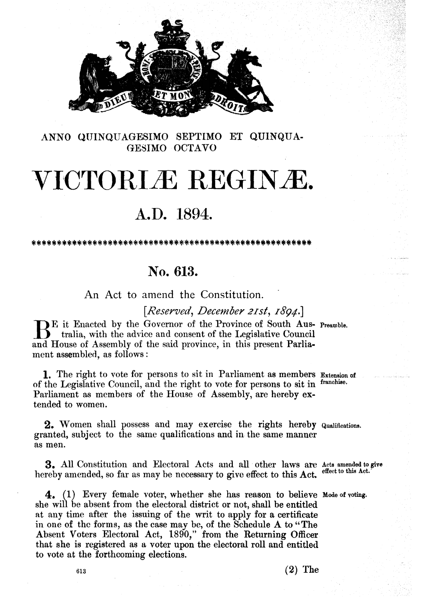

**ANNO** QTJINQUAGESIMO SEPTIMO ET QUIMQUA-**GE3IMO OCTAVO** 

## VICTORLÆ REGINÆ.

## A.D. 1894.

\*\*\*\*\*\*\*\*\*\*\*\*\*\*\*\*\*\*\*\*\*\*

## **No. 613.**

An Act to amend the Constitution.

*[Reserved, Dece~ ber* zzst , *1894* .]

E it Enacted by the Governor of the Province of South Aus- Preamble.<br> **13** tralia, with the advice and consent of the Legislative Council and House of Assembly of the said province, in this present Parlia ment assembled, as follows :

**1.** The right to vote for persons to sit in Parliament as members Extension of of the Legislative Council, and the right to vote for persons to sit in **franchbeo**  Parliament as members of the House of Assembly, are hereby extended to women.

2. Women shall possess and may exercise the rights hereby **Qualifications**. granted, subject to the same qualifications and in the same manner as men.

**3.** All Constitution and Electoral Acts and all other laws are Acts amended to give hereby amended, so far **as** may be necessary to **give** effect to this **Act. effect to this Act.'** 

**4.** (1) Every female voter, whether she has reason to believe Mode of voting. she will be absent from the electoral district or not, shall be entitled at any time after the issuing of the writ to apply for a certificate in one of the forms, as the case may be, of the Schedule **A** to **"The**  Absent Voters Electoral **Act, 1890,"** from the Returning Officer that she is registered as a voter upon the electoral roll and entitled to vote at the forthcoming elections.